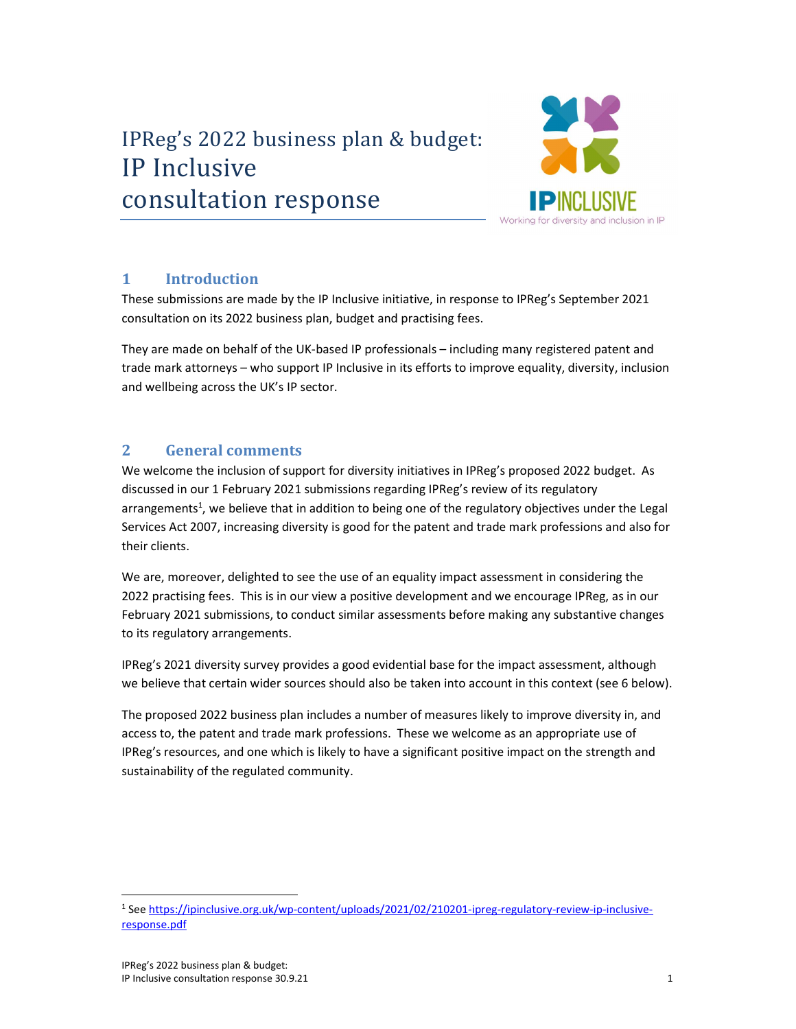# IPReg's 2022 business plan & budget: IP Inclusive consultation response



## 1 Introduction

These submissions are made by the IP Inclusive initiative, in response to IPReg's September 2021 consultation on its 2022 business plan, budget and practising fees.

They are made on behalf of the UK-based IP professionals – including many registered patent and trade mark attorneys – who support IP Inclusive in its efforts to improve equality, diversity, inclusion and wellbeing across the UK's IP sector.

## 2 General comments

We welcome the inclusion of support for diversity initiatives in IPReg's proposed 2022 budget. As discussed in our 1 February 2021 submissions regarding IPReg's review of its regulatory arrangements<sup>1</sup>, we believe that in addition to being one of the regulatory objectives under the Legal Services Act 2007, increasing diversity is good for the patent and trade mark professions and also for their clients.

We are, moreover, delighted to see the use of an equality impact assessment in considering the 2022 practising fees. This is in our view a positive development and we encourage IPReg, as in our February 2021 submissions, to conduct similar assessments before making any substantive changes to its regulatory arrangements.

IPReg's 2021 diversity survey provides a good evidential base for the impact assessment, although we believe that certain wider sources should also be taken into account in this context (see 6 below).

The proposed 2022 business plan includes a number of measures likely to improve diversity in, and access to, the patent and trade mark professions. These we welcome as an appropriate use of IPReg's resources, and one which is likely to have a significant positive impact on the strength and sustainability of the regulated community.

<sup>&</sup>lt;sup>1</sup> See https://ipinclusive.org.uk/wp-content/uploads/2021/02/210201-ipreg-regulatory-review-ip-inclusiveresponse.pdf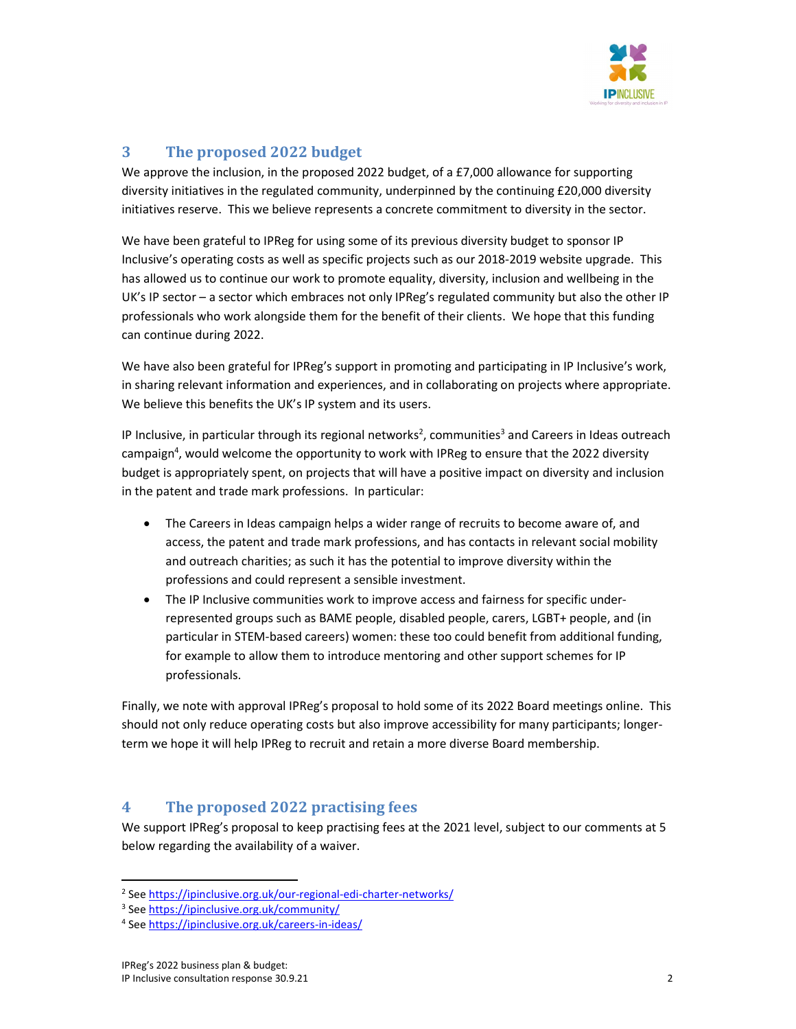

## 3 The proposed 2022 budget

We approve the inclusion, in the proposed 2022 budget, of a £7,000 allowance for supporting diversity initiatives in the regulated community, underpinned by the continuing £20,000 diversity initiatives reserve. This we believe represents a concrete commitment to diversity in the sector.

We have been grateful to IPReg for using some of its previous diversity budget to sponsor IP Inclusive's operating costs as well as specific projects such as our 2018-2019 website upgrade. This has allowed us to continue our work to promote equality, diversity, inclusion and wellbeing in the UK's IP sector – a sector which embraces not only IPReg's regulated community but also the other IP professionals who work alongside them for the benefit of their clients. We hope that this funding can continue during 2022.

We have also been grateful for IPReg's support in promoting and participating in IP Inclusive's work, in sharing relevant information and experiences, and in collaborating on projects where appropriate. We believe this benefits the UK's IP system and its users.

IP Inclusive, in particular through its regional networks<sup>2</sup>, communities<sup>3</sup> and Careers in Ideas outreach campaign<sup>4</sup>, would welcome the opportunity to work with IPReg to ensure that the 2022 diversity budget is appropriately spent, on projects that will have a positive impact on diversity and inclusion in the patent and trade mark professions. In particular:

- The Careers in Ideas campaign helps a wider range of recruits to become aware of, and access, the patent and trade mark professions, and has contacts in relevant social mobility and outreach charities; as such it has the potential to improve diversity within the professions and could represent a sensible investment.
- The IP Inclusive communities work to improve access and fairness for specific underrepresented groups such as BAME people, disabled people, carers, LGBT+ people, and (in particular in STEM-based careers) women: these too could benefit from additional funding, for example to allow them to introduce mentoring and other support schemes for IP professionals.

Finally, we note with approval IPReg's proposal to hold some of its 2022 Board meetings online. This should not only reduce operating costs but also improve accessibility for many participants; longerterm we hope it will help IPReg to recruit and retain a more diverse Board membership.

## 4 The proposed 2022 practising fees

We support IPReg's proposal to keep practising fees at the 2021 level, subject to our comments at 5 below regarding the availability of a waiver.

<sup>&</sup>lt;sup>2</sup> See https://ipinclusive.org.uk/our-regional-edi-charter-networks/

<sup>&</sup>lt;sup>3</sup> See https://ipinclusive.org.uk/community/

<sup>4</sup> See https://ipinclusive.org.uk/careers-in-ideas/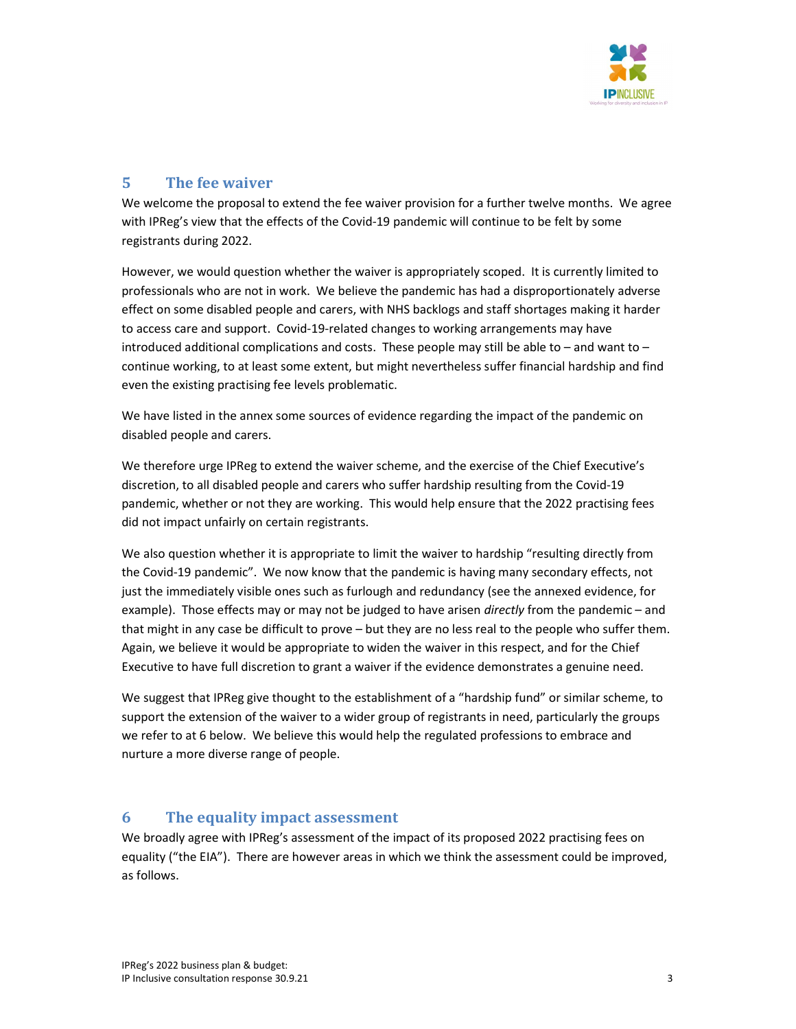

## 5 The fee waiver

We welcome the proposal to extend the fee waiver provision for a further twelve months. We agree with IPReg's view that the effects of the Covid-19 pandemic will continue to be felt by some registrants during 2022.

However, we would question whether the waiver is appropriately scoped. It is currently limited to professionals who are not in work. We believe the pandemic has had a disproportionately adverse effect on some disabled people and carers, with NHS backlogs and staff shortages making it harder to access care and support. Covid-19-related changes to working arrangements may have introduced additional complications and costs. These people may still be able to  $-$  and want to  $$ continue working, to at least some extent, but might nevertheless suffer financial hardship and find even the existing practising fee levels problematic.

We have listed in the annex some sources of evidence regarding the impact of the pandemic on disabled people and carers.

We therefore urge IPReg to extend the waiver scheme, and the exercise of the Chief Executive's discretion, to all disabled people and carers who suffer hardship resulting from the Covid-19 pandemic, whether or not they are working. This would help ensure that the 2022 practising fees did not impact unfairly on certain registrants.

We also question whether it is appropriate to limit the waiver to hardship "resulting directly from the Covid-19 pandemic". We now know that the pandemic is having many secondary effects, not just the immediately visible ones such as furlough and redundancy (see the annexed evidence, for example). Those effects may or may not be judged to have arisen *directly* from the pandemic – and that might in any case be difficult to prove – but they are no less real to the people who suffer them. Again, we believe it would be appropriate to widen the waiver in this respect, and for the Chief Executive to have full discretion to grant a waiver if the evidence demonstrates a genuine need.

We suggest that IPReg give thought to the establishment of a "hardship fund" or similar scheme, to support the extension of the waiver to a wider group of registrants in need, particularly the groups we refer to at 6 below. We believe this would help the regulated professions to embrace and nurture a more diverse range of people.

## 6 The equality impact assessment

We broadly agree with IPReg's assessment of the impact of its proposed 2022 practising fees on equality ("the EIA"). There are however areas in which we think the assessment could be improved, as follows.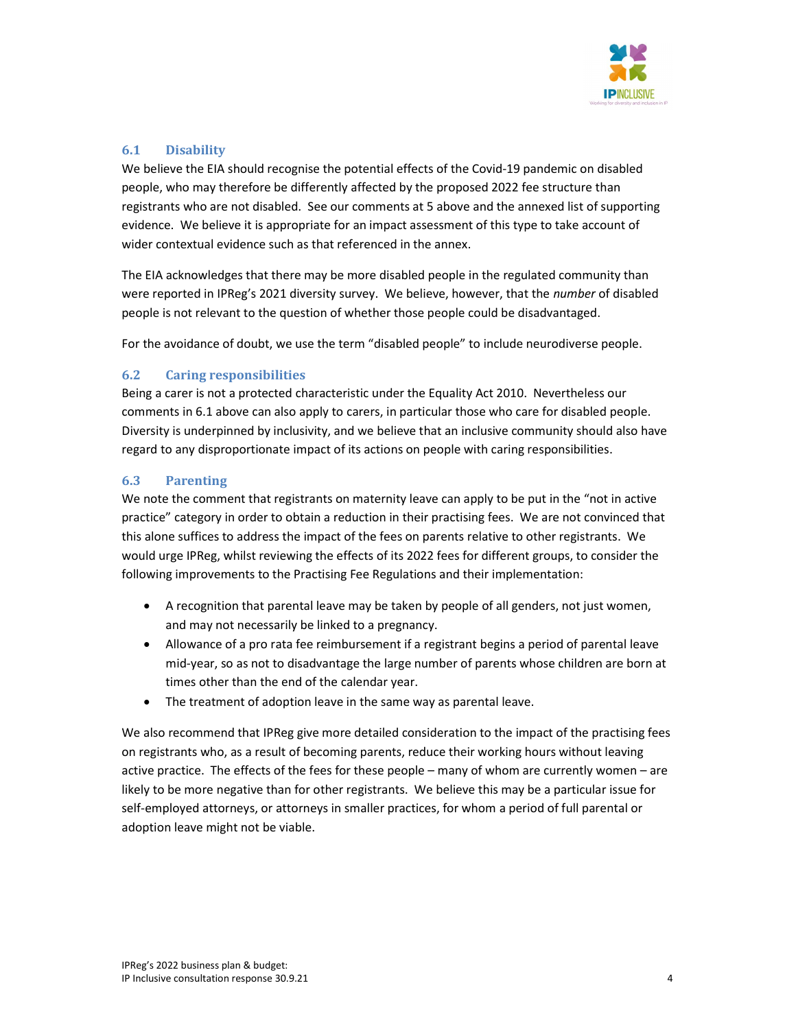

#### 6.1 Disability

We believe the EIA should recognise the potential effects of the Covid-19 pandemic on disabled people, who may therefore be differently affected by the proposed 2022 fee structure than registrants who are not disabled. See our comments at 5 above and the annexed list of supporting evidence. We believe it is appropriate for an impact assessment of this type to take account of wider contextual evidence such as that referenced in the annex.

The EIA acknowledges that there may be more disabled people in the regulated community than were reported in IPReg's 2021 diversity survey. We believe, however, that the number of disabled people is not relevant to the question of whether those people could be disadvantaged.

For the avoidance of doubt, we use the term "disabled people" to include neurodiverse people.

#### 6.2 Caring responsibilities

Being a carer is not a protected characteristic under the Equality Act 2010. Nevertheless our comments in 6.1 above can also apply to carers, in particular those who care for disabled people. Diversity is underpinned by inclusivity, and we believe that an inclusive community should also have regard to any disproportionate impact of its actions on people with caring responsibilities.

#### 6.3 Parenting

We note the comment that registrants on maternity leave can apply to be put in the "not in active" practice" category in order to obtain a reduction in their practising fees. We are not convinced that this alone suffices to address the impact of the fees on parents relative to other registrants. We would urge IPReg, whilst reviewing the effects of its 2022 fees for different groups, to consider the following improvements to the Practising Fee Regulations and their implementation:

- A recognition that parental leave may be taken by people of all genders, not just women, and may not necessarily be linked to a pregnancy.
- Allowance of a pro rata fee reimbursement if a registrant begins a period of parental leave mid-year, so as not to disadvantage the large number of parents whose children are born at times other than the end of the calendar year.
- The treatment of adoption leave in the same way as parental leave.

We also recommend that IPReg give more detailed consideration to the impact of the practising fees on registrants who, as a result of becoming parents, reduce their working hours without leaving active practice. The effects of the fees for these people – many of whom are currently women – are likely to be more negative than for other registrants. We believe this may be a particular issue for self-employed attorneys, or attorneys in smaller practices, for whom a period of full parental or adoption leave might not be viable.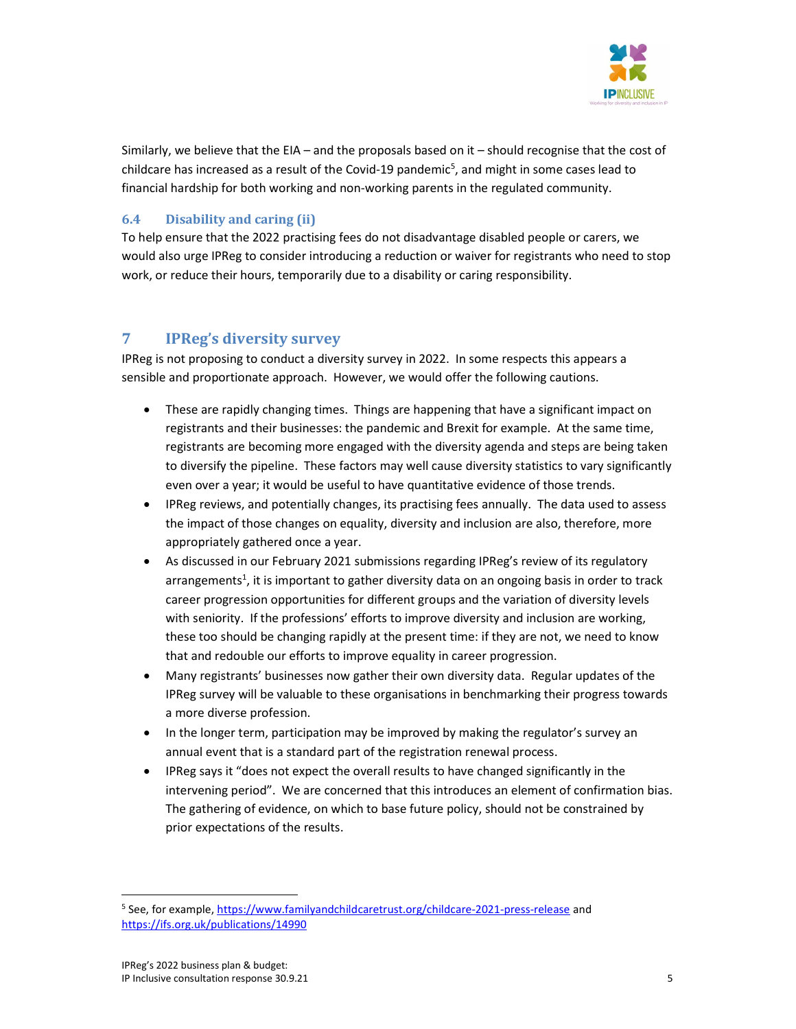

Similarly, we believe that the EIA – and the proposals based on it – should recognise that the cost of childcare has increased as a result of the Covid-19 pandemic<sup>5</sup>, and might in some cases lead to financial hardship for both working and non-working parents in the regulated community.

#### 6.4 Disability and caring (ii)

To help ensure that the 2022 practising fees do not disadvantage disabled people or carers, we would also urge IPReg to consider introducing a reduction or waiver for registrants who need to stop work, or reduce their hours, temporarily due to a disability or caring responsibility.

## 7 IPReg's diversity survey

IPReg is not proposing to conduct a diversity survey in 2022. In some respects this appears a sensible and proportionate approach. However, we would offer the following cautions.

- These are rapidly changing times. Things are happening that have a significant impact on registrants and their businesses: the pandemic and Brexit for example. At the same time, registrants are becoming more engaged with the diversity agenda and steps are being taken to diversify the pipeline. These factors may well cause diversity statistics to vary significantly even over a year; it would be useful to have quantitative evidence of those trends.
- IPReg reviews, and potentially changes, its practising fees annually. The data used to assess the impact of those changes on equality, diversity and inclusion are also, therefore, more appropriately gathered once a year.
- As discussed in our February 2021 submissions regarding IPReg's review of its regulatory arrangements<sup>1</sup>, it is important to gather diversity data on an ongoing basis in order to track career progression opportunities for different groups and the variation of diversity levels with seniority. If the professions' efforts to improve diversity and inclusion are working, these too should be changing rapidly at the present time: if they are not, we need to know that and redouble our efforts to improve equality in career progression.
- Many registrants' businesses now gather their own diversity data. Regular updates of the IPReg survey will be valuable to these organisations in benchmarking their progress towards a more diverse profession.
- In the longer term, participation may be improved by making the regulator's survey an annual event that is a standard part of the registration renewal process.
- IPReg says it "does not expect the overall results to have changed significantly in the intervening period". We are concerned that this introduces an element of confirmation bias. The gathering of evidence, on which to base future policy, should not be constrained by prior expectations of the results.

<sup>&</sup>lt;sup>5</sup> See, for example, https://www.familyandchildcaretrust.org/childcare-2021-press-release and https://ifs.org.uk/publications/14990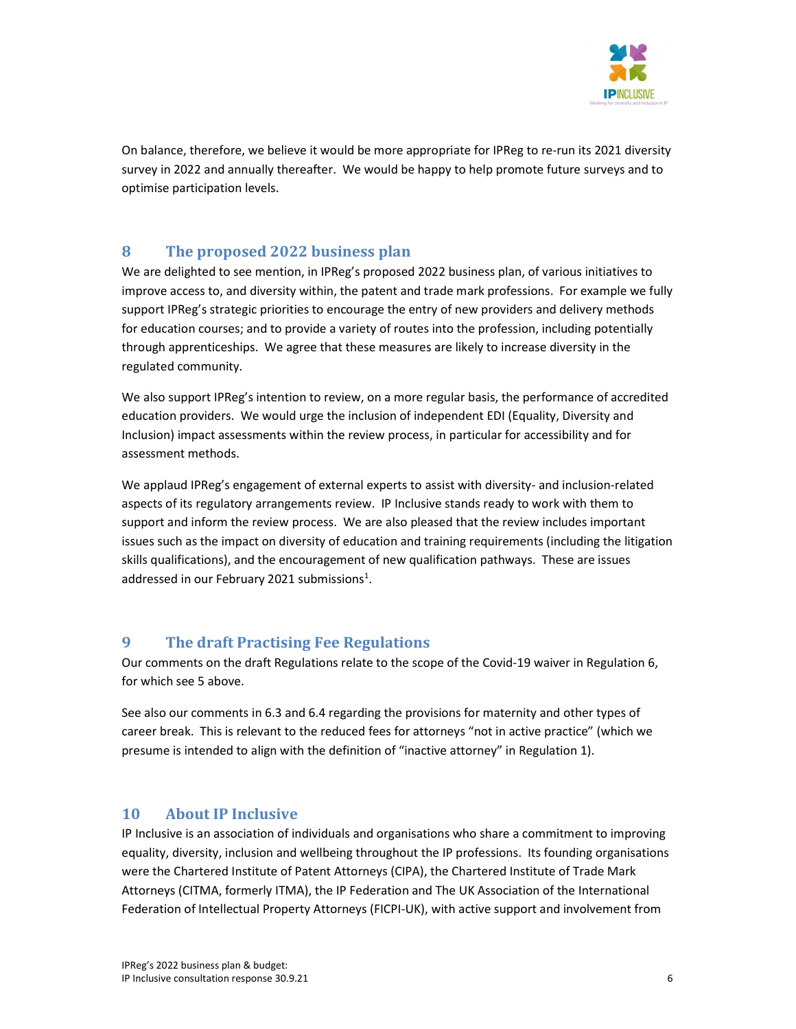

On balance, therefore, we believe it would be more appropriate for IPReg to re-run its 2021 diversity survey in 2022 and annually thereafter. We would be happy to help promote future surveys and to optimise participation levels.

## 8 The proposed 2022 business plan

We are delighted to see mention, in IPReg's proposed 2022 business plan, of various initiatives to improve access to, and diversity within, the patent and trade mark professions. For example we fully support IPReg's strategic priorities to encourage the entry of new providers and delivery methods for education courses; and to provide a variety of routes into the profession, including potentially through apprenticeships. We agree that these measures are likely to increase diversity in the regulated community.

We also support IPReg's intention to review, on a more regular basis, the performance of accredited education providers. We would urge the inclusion of independent EDI (Equality, Diversity and Inclusion) impact assessments within the review process, in particular for accessibility and for assessment methods.

We applaud IPReg's engagement of external experts to assist with diversity- and inclusion-related aspects of its regulatory arrangements review. IP Inclusive stands ready to work with them to support and inform the review process. We are also pleased that the review includes important issues such as the impact on diversity of education and training requirements (including the litigation skills qualifications), and the encouragement of new qualification pathways. These are issues addressed in our February 2021 submissions<sup>1</sup>.

## 9 The draft Practising Fee Regulations

Our comments on the draft Regulations relate to the scope of the Covid-19 waiver in Regulation 6, for which see 5 above.

See also our comments in 6.3 and 6.4 regarding the provisions for maternity and other types of career break. This is relevant to the reduced fees for attorneys "not in active practice" (which we presume is intended to align with the definition of "inactive attorney" in Regulation 1).

## 10 About IP Inclusive

IP Inclusive is an association of individuals and organisations who share a commitment to improving equality, diversity, inclusion and wellbeing throughout the IP professions. Its founding organisations were the Chartered Institute of Patent Attorneys (CIPA), the Chartered Institute of Trade Mark Attorneys (CITMA, formerly ITMA), the IP Federation and The UK Association of the International Federation of Intellectual Property Attorneys (FICPI-UK), with active support and involvement from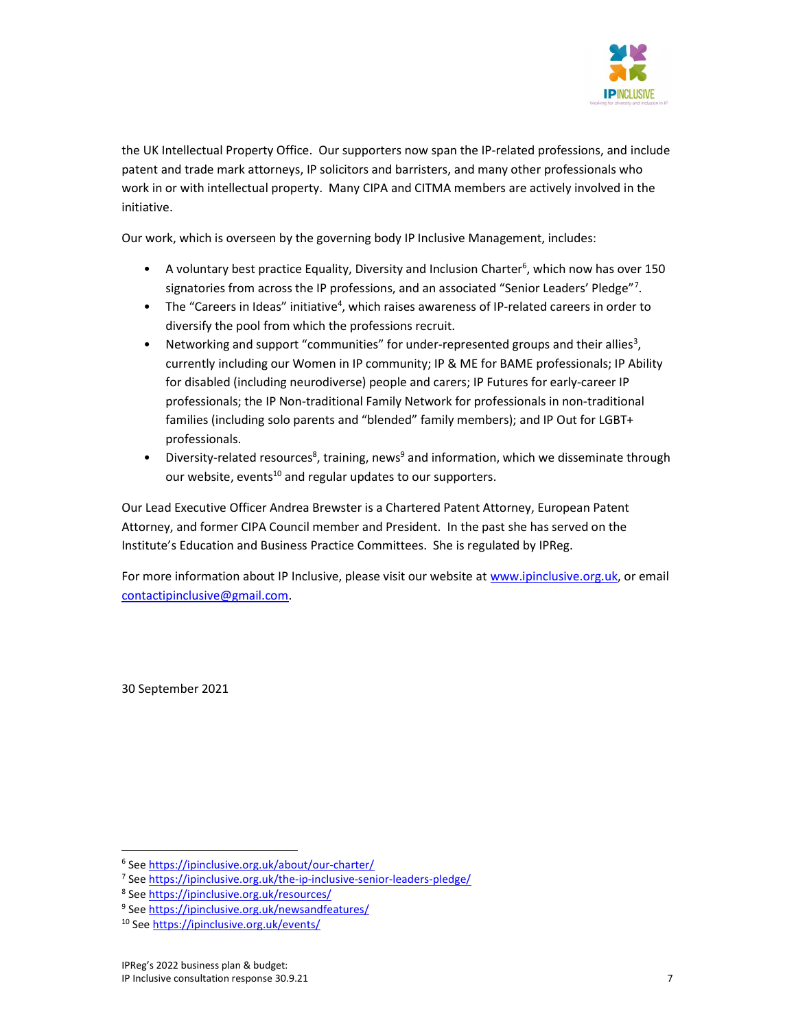

the UK Intellectual Property Office. Our supporters now span the IP-related professions, and include patent and trade mark attorneys, IP solicitors and barristers, and many other professionals who work in or with intellectual property. Many CIPA and CITMA members are actively involved in the initiative.

Our work, which is overseen by the governing body IP Inclusive Management, includes:

- A voluntary best practice Equality, Diversity and Inclusion Charter<sup>6</sup>, which now has over 150 signatories from across the IP professions, and an associated "Senior Leaders' Pledge"<sup>7</sup>.
- The "Careers in Ideas" initiative<sup>4</sup>, which raises awareness of IP-related careers in order to diversify the pool from which the professions recruit.
- Networking and support "communities" for under-represented groups and their allies<sup>3</sup>, currently including our Women in IP community; IP & ME for BAME professionals; IP Ability for disabled (including neurodiverse) people and carers; IP Futures for early-career IP professionals; the IP Non-traditional Family Network for professionals in non-traditional families (including solo parents and "blended" family members); and IP Out for LGBT+ professionals.
- Diversity-related resources<sup>8</sup>, training, news<sup>9</sup> and information, which we disseminate through our website, events<sup>10</sup> and regular updates to our supporters.

Our Lead Executive Officer Andrea Brewster is a Chartered Patent Attorney, European Patent Attorney, and former CIPA Council member and President. In the past she has served on the Institute's Education and Business Practice Committees. She is regulated by IPReg.

For more information about IP Inclusive, please visit our website at www.ipinclusive.org.uk, or email contactipinclusive@gmail.com.

30 September 2021

<sup>&</sup>lt;sup>6</sup> See https://ipinclusive.org.uk/about/our-charter/

<sup>&</sup>lt;sup>7</sup> See https://ipinclusive.org.uk/the-ip-inclusive-senior-leaders-pledge/

<sup>&</sup>lt;sup>8</sup> See https://ipinclusive.org.uk/resources/

<sup>&</sup>lt;sup>9</sup> See https://ipinclusive.org.uk/newsandfeatures/

<sup>10</sup> See https://ipinclusive.org.uk/events/